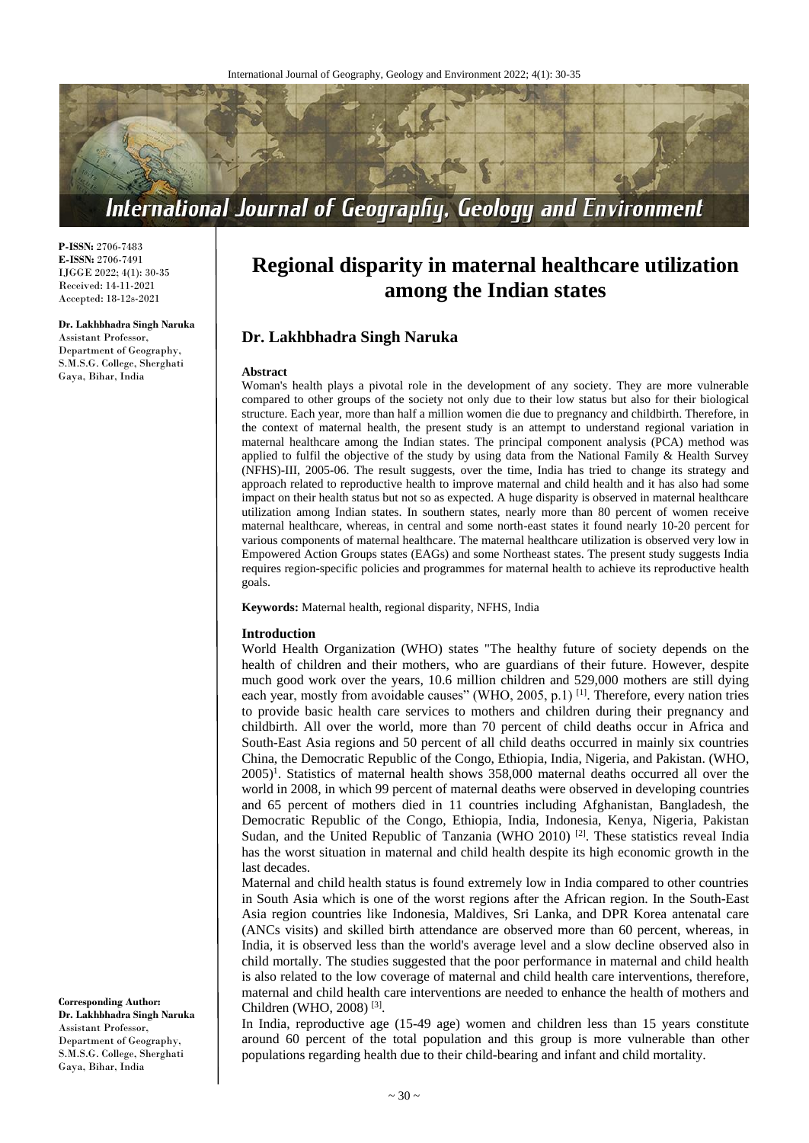

**P-ISSN:** 2706-7483 **E-ISSN:** 2706-7491 IJGGE 2022; 4(1): 30-35 Received: 14-11-2021 Accepted: 18-12s-2021

#### **Dr. Lakhbhadra Singh Naruka**

Assistant Professor, Department of Geography, S.M.S.G. College, Sherghati Gaya, Bihar, India

# **Regional disparity in maternal healthcare utilization among the Indian states**

# **Dr. Lakhbhadra Singh Naruka**

#### **Abstract**

Woman's health plays a pivotal role in the development of any society. They are more vulnerable compared to other groups of the society not only due to their low status but also for their biological structure. Each year, more than half a million women die due to pregnancy and childbirth. Therefore, in the context of maternal health, the present study is an attempt to understand regional variation in maternal healthcare among the Indian states. The principal component analysis (PCA) method was applied to fulfil the objective of the study by using data from the National Family & Health Survey (NFHS)-III, 2005-06. The result suggests, over the time, India has tried to change its strategy and approach related to reproductive health to improve maternal and child health and it has also had some impact on their health status but not so as expected. A huge disparity is observed in maternal healthcare utilization among Indian states. In southern states, nearly more than 80 percent of women receive maternal healthcare, whereas, in central and some north-east states it found nearly 10-20 percent for various components of maternal healthcare. The maternal healthcare utilization is observed very low in Empowered Action Groups states (EAGs) and some Northeast states. The present study suggests India requires region-specific policies and programmes for maternal health to achieve its reproductive health goals.

**Keywords:** Maternal health, regional disparity, NFHS, India

#### **Introduction**

World Health Organization (WHO) states "The healthy future of society depends on the health of children and their mothers, who are guardians of their future. However, despite much good work over the years, 10.6 million children and 529,000 mothers are still dying each year, mostly from avoidable causes" (WHO, 2005, p.1)<sup>[1]</sup>. Therefore, every nation tries to provide basic health care services to mothers and children during their pregnancy and childbirth. All over the world, more than 70 percent of child deaths occur in Africa and South-East Asia regions and 50 percent of all child deaths occurred in mainly six countries China, the Democratic Republic of the Congo, Ethiopia, India, Nigeria, and Pakistan. (WHO,  $2005$ <sup>1</sup>. Statistics of maternal health shows 358,000 maternal deaths occurred all over the world in 2008, in which 99 percent of maternal deaths were observed in developing countries and 65 percent of mothers died in 11 countries including Afghanistan, Bangladesh, the Democratic Republic of the Congo, Ethiopia, India, Indonesia, Kenya, Nigeria, Pakistan Sudan, and the United Republic of Tanzania (WHO 2010)<sup>[2]</sup>. These statistics reveal India has the worst situation in maternal and child health despite its high economic growth in the last decades.

Maternal and child health status is found extremely low in India compared to other countries in South Asia which is one of the worst regions after the African region. In the South-East Asia region countries like Indonesia, Maldives, Sri Lanka, and DPR Korea antenatal care (ANCs visits) and skilled birth attendance are observed more than 60 percent, whereas, in India, it is observed less than the world's average level and a slow decline observed also in child mortally. The studies suggested that the poor performance in maternal and child health is also related to the low coverage of maternal and child health care interventions, therefore, maternal and child health care interventions are needed to enhance the health of mothers and Children (WHO, 2008) [3] .

In India, reproductive age (15-49 age) women and children less than 15 years constitute around 60 percent of the total population and this group is more vulnerable than other populations regarding health due to their child-bearing and infant and child mortality.

**Corresponding Author: Dr. Lakhbhadra Singh Naruka** Assistant Professor, Department of Geography, S.M.S.G. College, Sherghati Gaya, Bihar, India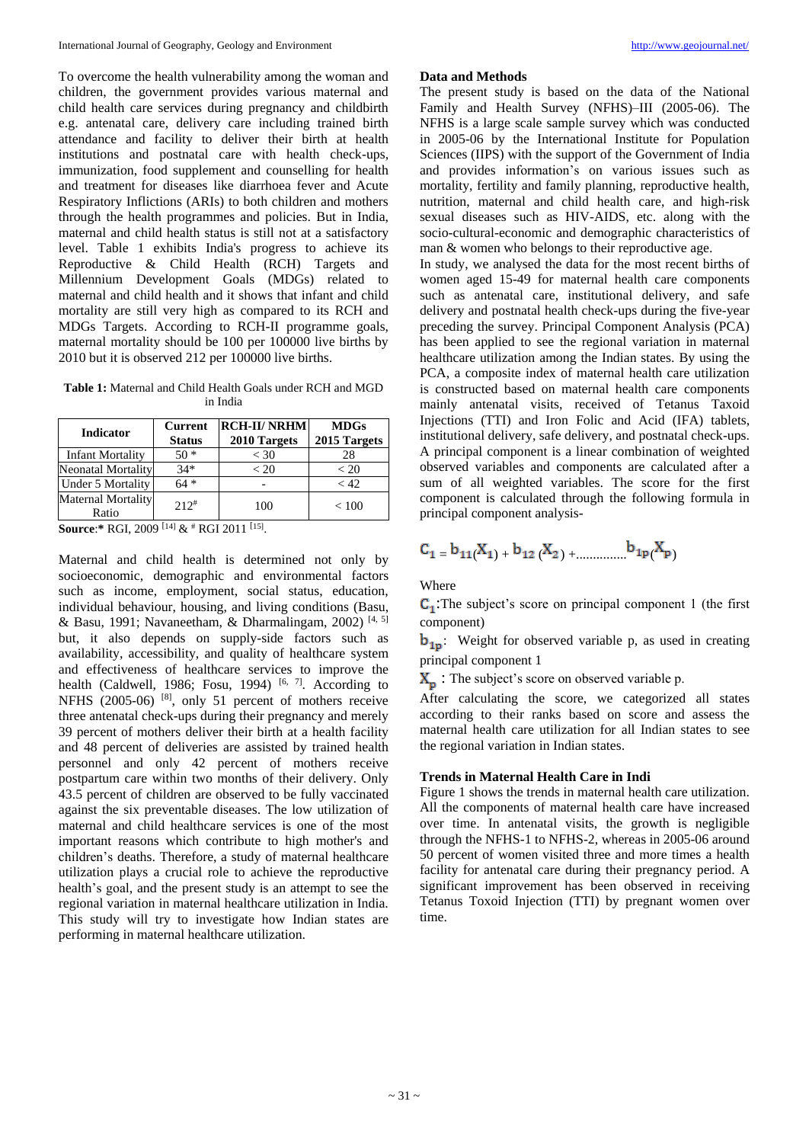To overcome the health vulnerability among the woman and children, the government provides various maternal and child health care services during pregnancy and childbirth e.g. antenatal care, delivery care including trained birth attendance and facility to deliver their birth at health institutions and postnatal care with health check-ups, immunization, food supplement and counselling for health and treatment for diseases like diarrhoea fever and Acute Respiratory Inflictions (ARIs) to both children and mothers through the health programmes and policies. But in India, maternal and child health status is still not at a satisfactory level. Table 1 exhibits India's progress to achieve its Reproductive & Child Health (RCH) Targets and Millennium Development Goals (MDGs) related to maternal and child health and it shows that infant and child mortality are still very high as compared to its RCH and MDGs Targets. According to RCH-II programme goals, maternal mortality should be 100 per 100000 live births by 2010 but it is observed 212 per 100000 live births.

**Table 1:** Maternal and Child Health Goals under RCH and MGD in India

| <b>Indicator</b>                   | Current<br><b>Status</b> | <b>RCH-II/ NRHM</b><br>2010 Targets | <b>MDGs</b><br>2015 Targets |
|------------------------------------|--------------------------|-------------------------------------|-----------------------------|
| <b>Infant Mortality</b>            | $50*$                    | $<$ 30                              | 28                          |
| <b>Neonatal Mortality</b>          | $34*$                    | ${}_{<} 20$                         | ${}_{< 20}$                 |
| Under 5 Mortality                  | $64*$                    |                                     | < 42                        |
| <b>Maternal Mortality</b><br>Ratio | $212$ <sup>#</sup>       | 100                                 | < 100                       |

**Source**:**\*** RGI, 2009 [14] & # RGI 2011 [15] .

Maternal and child health is determined not only by socioeconomic, demographic and environmental factors such as income, employment, social status, education, individual behaviour, housing, and living conditions (Basu, & Basu, 1991; Navaneetham, & Dharmalingam, 2002)<sup>[4, 5]</sup> but, it also depends on supply-side factors such as availability, accessibility, and quality of healthcare system and effectiveness of healthcare services to improve the health (Caldwell, 1986; Fosu, 1994)  $[6, 7]$ . According to NFHS  $(2005-06)$  <sup>[8]</sup>, only 51 percent of mothers receive three antenatal check-ups during their pregnancy and merely 39 percent of mothers deliver their birth at a health facility and 48 percent of deliveries are assisted by trained health personnel and only 42 percent of mothers receive postpartum care within two months of their delivery. Only 43.5 percent of children are observed to be fully vaccinated against the six preventable diseases. The low utilization of maternal and child healthcare services is one of the most important reasons which contribute to high mother's and children's deaths. Therefore, a study of maternal healthcare utilization plays a crucial role to achieve the reproductive health's goal, and the present study is an attempt to see the regional variation in maternal healthcare utilization in India. This study will try to investigate how Indian states are performing in maternal healthcare utilization.

#### **Data and Methods**

The present study is based on the data of the National Family and Health Survey (NFHS)–III (2005-06). The NFHS is a large scale sample survey which was conducted in 2005-06 by the International Institute for Population Sciences (IIPS) with the support of the Government of India and provides information's on various issues such as mortality, fertility and family planning, reproductive health, nutrition, maternal and child health care, and high-risk sexual diseases such as HIV-AIDS, etc. along with the socio-cultural-economic and demographic characteristics of man & women who belongs to their reproductive age.

In study, we analysed the data for the most recent births of women aged 15-49 for maternal health care components such as antenatal care, institutional delivery, and safe delivery and postnatal health check-ups during the five-year preceding the survey. Principal Component Analysis (PCA) has been applied to see the regional variation in maternal healthcare utilization among the Indian states. By using the PCA, a composite index of maternal health care utilization is constructed based on maternal health care components mainly antenatal visits, received of Tetanus Taxoid Injections (TTI) and Iron Folic and Acid (IFA) tablets, institutional delivery, safe delivery, and postnatal check-ups. A principal component is a linear combination of weighted observed variables and components are calculated after a sum of all weighted variables. The score for the first component is calculated through the following formula in principal component analysis-

$$
c_{1}\equiv b_{11}(X_{1})+b_{12}\left(X_{2}\right)+\dots\dots\dots\dots b_{1p}\left(X_{p}\right)
$$

Where

 $C<sub>1</sub>$ :The subject's score on principal component 1 (the first component)

**: Weight for observed variable p, as used in creating** principal component 1

 $X_p$ : The subject's score on observed variable p.

After calculating the score, we categorized all states according to their ranks based on score and assess the maternal health care utilization for all Indian states to see the regional variation in Indian states.

#### **Trends in Maternal Health Care in Indi**

Figure 1 shows the trends in maternal health care utilization. All the components of maternal health care have increased over time. In antenatal visits, the growth is negligible through the NFHS-1 to NFHS-2, whereas in 2005-06 around 50 percent of women visited three and more times a health facility for antenatal care during their pregnancy period. A significant improvement has been observed in receiving Tetanus Toxoid Injection (TTI) by pregnant women over time.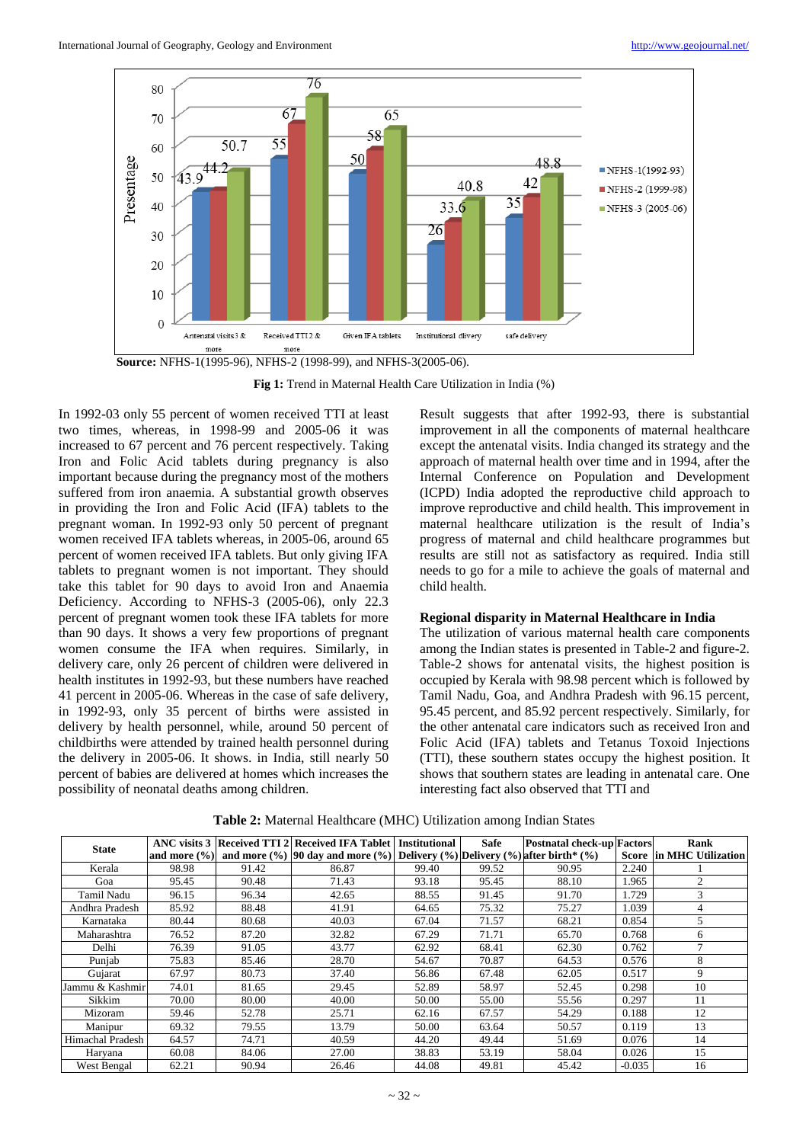

**Fig 1:** Trend in Maternal Health Care Utilization in India (%)

In 1992-03 only 55 percent of women received TTI at least two times, whereas, in 1998-99 and 2005-06 it was increased to 67 percent and 76 percent respectively. Taking Iron and Folic Acid tablets during pregnancy is also important because during the pregnancy most of the mothers suffered from iron anaemia. A substantial growth observes in providing the Iron and Folic Acid (IFA) tablets to the pregnant woman. In 1992-93 only 50 percent of pregnant women received IFA tablets whereas, in 2005-06, around 65 percent of women received IFA tablets. But only giving IFA tablets to pregnant women is not important. They should take this tablet for 90 days to avoid Iron and Anaemia Deficiency. According to NFHS-3 (2005-06), only 22.3 percent of pregnant women took these IFA tablets for more than 90 days. It shows a very few proportions of pregnant women consume the IFA when requires. Similarly, in delivery care, only 26 percent of children were delivered in health institutes in 1992-93, but these numbers have reached 41 percent in 2005-06. Whereas in the case of safe delivery, in 1992-93, only 35 percent of births were assisted in delivery by health personnel, while, around 50 percent of childbirths were attended by trained health personnel during the delivery in 2005-06. It shows. in India, still nearly 50 percent of babies are delivered at homes which increases the possibility of neonatal deaths among children.

Result suggests that after 1992-93, there is substantial improvement in all the components of maternal healthcare except the antenatal visits. India changed its strategy and the approach of maternal health over time and in 1994, after the Internal Conference on Population and Development (ICPD) India adopted the reproductive child approach to improve reproductive and child health. This improvement in maternal healthcare utilization is the result of India's progress of maternal and child healthcare programmes but results are still not as satisfactory as required. India still needs to go for a mile to achieve the goals of maternal and child health.

## **Regional disparity in Maternal Healthcare in India**

The utilization of various maternal health care components among the Indian states is presented in Table-2 and figure-2. Table-2 shows for antenatal visits, the highest position is occupied by Kerala with 98.98 percent which is followed by Tamil Nadu, Goa, and Andhra Pradesh with 96.15 percent, 95.45 percent, and 85.92 percent respectively. Similarly, for the other antenatal care indicators such as received Iron and Folic Acid (IFA) tablets and Tetanus Toxoid Injections (TTI), these southern states occupy the highest position. It shows that southern states are leading in antenatal care. One interesting fact also observed that TTI and

| <b>State</b>     |       |       | ANC visits 3 Received TTI 2 Received IFA Tablet Institutional                                                      |       | Safe  | <b>Postnatal check-up Factors</b> |          | Rank                          |
|------------------|-------|-------|--------------------------------------------------------------------------------------------------------------------|-------|-------|-----------------------------------|----------|-------------------------------|
|                  |       |       | and more $(\%)$ and more $(\%)$   90 day and more $(\%)$   Delivery $(\%)$   Delivery $(\%)$   after birth* $(\%)$ |       |       |                                   |          | Score lin MHC Utilization     |
| Kerala           | 98.98 | 91.42 | 86.87                                                                                                              | 99.40 | 99.52 | 90.95                             | 2.240    |                               |
| Goa              | 95.45 | 90.48 | 71.43                                                                                                              | 93.18 | 95.45 | 88.10                             | 1.965    | $\mathfrak{D}_{\mathfrak{p}}$ |
| Tamil Nadu       | 96.15 | 96.34 | 42.65                                                                                                              | 88.55 | 91.45 | 91.70                             | 1.729    |                               |
| Andhra Pradesh   | 85.92 | 88.48 | 41.91                                                                                                              | 64.65 | 75.32 | 75.27                             | 1.039    | 4                             |
| Karnataka        | 80.44 | 80.68 | 40.03                                                                                                              | 67.04 | 71.57 | 68.21                             | 0.854    | 5                             |
| Maharashtra      | 76.52 | 87.20 | 32.82                                                                                                              | 67.29 | 71.71 | 65.70                             | 0.768    | 6                             |
| Delhi            | 76.39 | 91.05 | 43.77                                                                                                              | 62.92 | 68.41 | 62.30                             | 0.762    | $\mathbf{r}$                  |
| Punjab           | 75.83 | 85.46 | 28.70                                                                                                              | 54.67 | 70.87 | 64.53                             | 0.576    | 8                             |
| Gujarat          | 67.97 | 80.73 | 37.40                                                                                                              | 56.86 | 67.48 | 62.05                             | 0.517    | 9                             |
| Jammu & Kashmir  | 74.01 | 81.65 | 29.45                                                                                                              | 52.89 | 58.97 | 52.45                             | 0.298    | 10                            |
| Sikkim           | 70.00 | 80.00 | 40.00                                                                                                              | 50.00 | 55.00 | 55.56                             | 0.297    | 11                            |
| Mizoram          | 59.46 | 52.78 | 25.71                                                                                                              | 62.16 | 67.57 | 54.29                             | 0.188    | 12                            |
| Manipur          | 69.32 | 79.55 | 13.79                                                                                                              | 50.00 | 63.64 | 50.57                             | 0.119    | 13                            |
| Himachal Pradesh | 64.57 | 74.71 | 40.59                                                                                                              | 44.20 | 49.44 | 51.69                             | 0.076    | 14                            |
| Haryana          | 60.08 | 84.06 | 27.00                                                                                                              | 38.83 | 53.19 | 58.04                             | 0.026    | 15                            |
| West Bengal      | 62.21 | 90.94 | 26.46                                                                                                              | 44.08 | 49.81 | 45.42                             | $-0.035$ | 16                            |

**Table 2:** Maternal Healthcare (MHC) Utilization among Indian States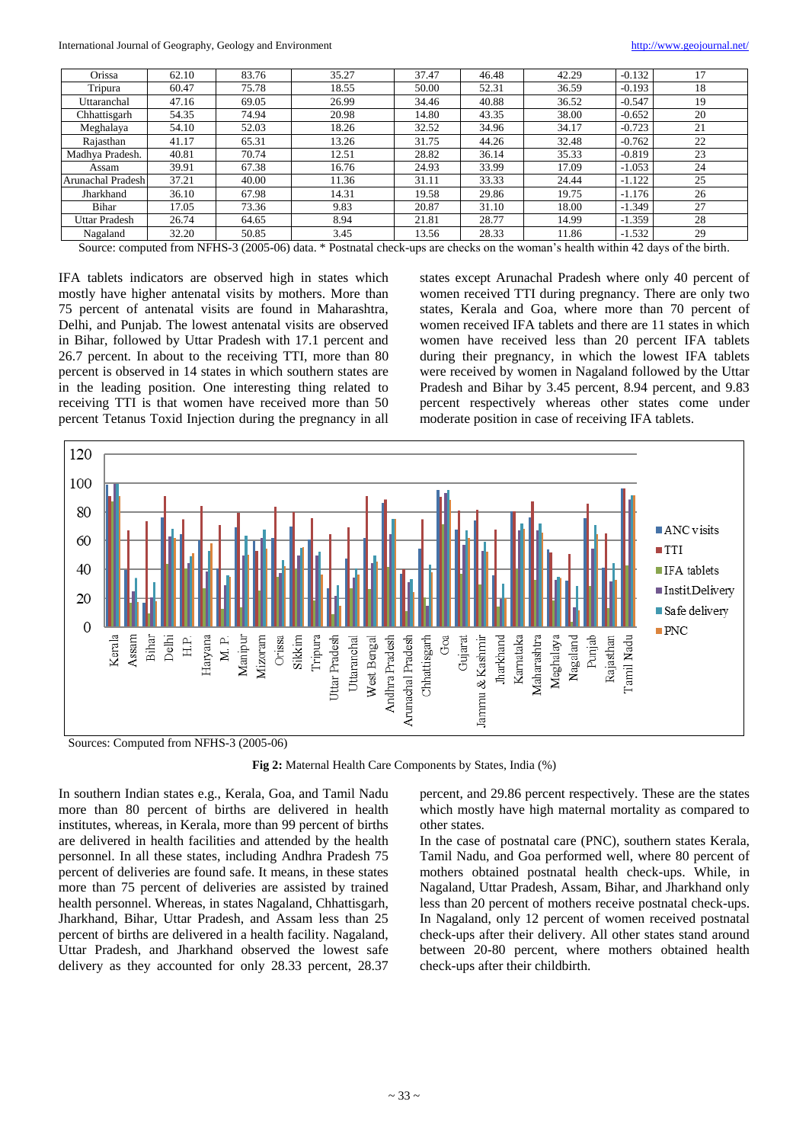| Orissa            | 62.10 | 83.76 | 35.27 | 37.47 | 46.48 | 42.29 | $-0.132$ | 17 |
|-------------------|-------|-------|-------|-------|-------|-------|----------|----|
| Tripura           | 60.47 | 75.78 | 18.55 | 50.00 | 52.31 | 36.59 | $-0.193$ | 18 |
| Uttaranchal       | 47.16 | 69.05 | 26.99 | 34.46 | 40.88 | 36.52 | $-0.547$ | 19 |
| Chhattisgarh      | 54.35 | 74.94 | 20.98 | 14.80 | 43.35 | 38.00 | $-0.652$ | 20 |
| Meghalaya         | 54.10 | 52.03 | 18.26 | 32.52 | 34.96 | 34.17 | $-0.723$ | 21 |
| Rajasthan         | 41.17 | 65.31 | 13.26 | 31.75 | 44.26 | 32.48 | $-0.762$ | 22 |
| Madhya Pradesh.   | 40.81 | 70.74 | 12.51 | 28.82 | 36.14 | 35.33 | $-0.819$ | 23 |
| Assam             | 39.91 | 67.38 | 16.76 | 24.93 | 33.99 | 17.09 | $-1.053$ | 24 |
| Arunachal Pradesh | 37.21 | 40.00 | 11.36 | 31.11 | 33.33 | 24.44 | $-1.122$ | 25 |
| Jharkhand         | 36.10 | 67.98 | 14.31 | 19.58 | 29.86 | 19.75 | $-1.176$ | 26 |
| Bihar             | 17.05 | 73.36 | 9.83  | 20.87 | 31.10 | 18.00 | $-1.349$ | 27 |
| Uttar Pradesh     | 26.74 | 64.65 | 8.94  | 21.81 | 28.77 | 14.99 | $-1.359$ | 28 |
| Nagaland          | 32.20 | 50.85 | 3.45  | 13.56 | 28.33 | 11.86 | $-1.532$ | 29 |

Source: computed from NFHS-3 (2005-06) data. \* Postnatal check-ups are checks on the woman's health within 42 days of the birth.

IFA tablets indicators are observed high in states which mostly have higher antenatal visits by mothers. More than 75 percent of antenatal visits are found in Maharashtra, Delhi, and Punjab. The lowest antenatal visits are observed in Bihar, followed by Uttar Pradesh with 17.1 percent and 26.7 percent. In about to the receiving TTI, more than 80 percent is observed in 14 states in which southern states are in the leading position. One interesting thing related to receiving TTI is that women have received more than 50 percent Tetanus Toxid Injection during the pregnancy in all states except Arunachal Pradesh where only 40 percent of women received TTI during pregnancy. There are only two states, Kerala and Goa, where more than 70 percent of women received IFA tablets and there are 11 states in which women have received less than 20 percent IFA tablets during their pregnancy, in which the lowest IFA tablets were received by women in Nagaland followed by the Uttar Pradesh and Bihar by 3.45 percent, 8.94 percent, and 9.83 percent respectively whereas other states come under moderate position in case of receiving IFA tablets.



**Fig 2:** Maternal Health Care Components by States, India (%)

In southern Indian states e.g., Kerala, Goa, and Tamil Nadu more than 80 percent of births are delivered in health institutes, whereas, in Kerala, more than 99 percent of births are delivered in health facilities and attended by the health personnel. In all these states, including Andhra Pradesh 75 percent of deliveries are found safe. It means, in these states more than 75 percent of deliveries are assisted by trained health personnel. Whereas, in states Nagaland, Chhattisgarh, Jharkhand, Bihar, Uttar Pradesh, and Assam less than 25 percent of births are delivered in a health facility. Nagaland, Uttar Pradesh, and Jharkhand observed the lowest safe delivery as they accounted for only 28.33 percent, 28.37

percent, and 29.86 percent respectively. These are the states which mostly have high maternal mortality as compared to other states.

In the case of postnatal care (PNC), southern states Kerala, Tamil Nadu, and Goa performed well, where 80 percent of mothers obtained postnatal health check-ups. While, in Nagaland, Uttar Pradesh, Assam, Bihar, and Jharkhand only less than 20 percent of mothers receive postnatal check-ups. In Nagaland, only 12 percent of women received postnatal check-ups after their delivery. All other states stand around between 20-80 percent, where mothers obtained health check-ups after their childbirth.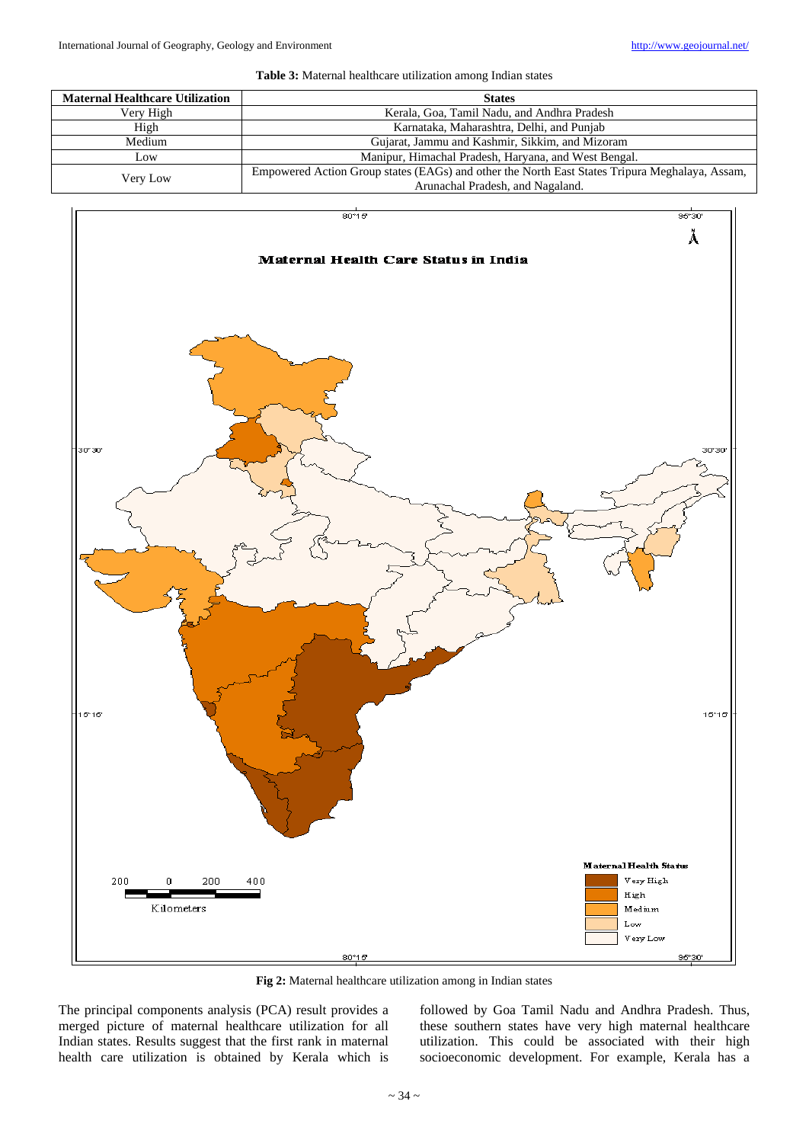

| <b>Maternal Healthcare Utilization</b> | <b>States</b>                                                                                  |
|----------------------------------------|------------------------------------------------------------------------------------------------|
| Very High                              | Kerala, Goa, Tamil Nadu, and Andhra Pradesh                                                    |
| High                                   | Karnataka, Maharashtra, Delhi, and Punjab                                                      |
| Medium                                 | Gujarat, Jammu and Kashmir, Sikkim, and Mizoram                                                |
| Low                                    | Manipur, Himachal Pradesh, Haryana, and West Bengal.                                           |
| Very Low                               | Empowered Action Group states (EAGs) and other the North East States Tripura Meghalaya, Assam, |
|                                        | Arunachal Pradesh, and Nagaland.                                                               |



**Fig 2:** Maternal healthcare utilization among in Indian states

The principal components analysis (PCA) result provides a merged picture of maternal healthcare utilization for all Indian states. Results suggest that the first rank in maternal health care utilization is obtained by Kerala which is followed by Goa Tamil Nadu and Andhra Pradesh. Thus, these southern states have very high maternal healthcare utilization. This could be associated with their high socioeconomic development. For example, Kerala has a